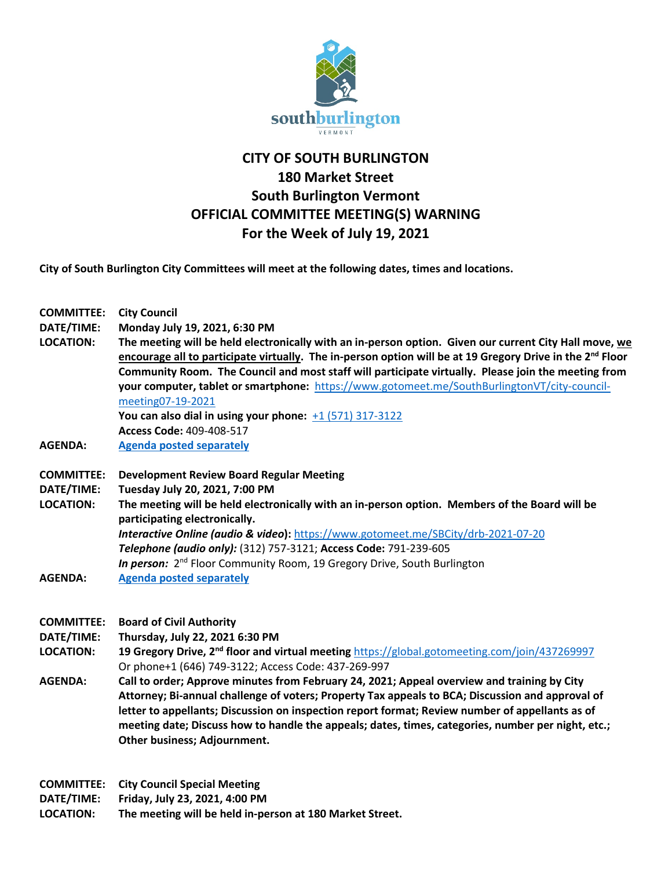

## **CITY OF SOUTH BURLINGTON 180 Market Street South Burlington Vermont OFFICIAL COMMITTEE MEETING(S) WARNING For the Week of July 19, 2021**

**City of South Burlington City Committees will meet at the following dates, times and locations.** 

| <b>COMMITTEE:</b><br>DATE/TIME:<br><b>LOCATION:</b>                   | <b>City Council</b><br>Monday July 19, 2021, 6:30 PM<br>The meeting will be held electronically with an in-person option. Given our current City Hall move, we<br>encourage all to participate virtually. The in-person option will be at 19 Gregory Drive in the 2 <sup>nd</sup> Floor<br>Community Room. The Council and most staff will participate virtually. Please join the meeting from<br>your computer, tablet or smartphone: https://www.gotomeet.me/SouthBurlingtonVT/city-council-<br>meeting07-19-2021<br>You can also dial in using your phone: $+1$ (571) 317-3122<br>Access Code: 409-408-517                                                                      |
|-----------------------------------------------------------------------|------------------------------------------------------------------------------------------------------------------------------------------------------------------------------------------------------------------------------------------------------------------------------------------------------------------------------------------------------------------------------------------------------------------------------------------------------------------------------------------------------------------------------------------------------------------------------------------------------------------------------------------------------------------------------------|
| <b>AGENDA:</b>                                                        | <b>Agenda posted separately</b>                                                                                                                                                                                                                                                                                                                                                                                                                                                                                                                                                                                                                                                    |
| <b>COMMITTEE:</b><br>DATE/TIME:<br><b>LOCATION:</b><br><b>AGENDA:</b> | <b>Development Review Board Regular Meeting</b><br>Tuesday July 20, 2021, 7:00 PM<br>The meeting will be held electronically with an in-person option. Members of the Board will be<br>participating electronically.<br>Interactive Online (audio & video): https://www.gotomeet.me/SBCity/drb-2021-07-20<br>Telephone (audio only): (312) 757-3121; Access Code: 791-239-605<br>In person: 2 <sup>nd</sup> Floor Community Room, 19 Gregory Drive, South Burlington<br><b>Agenda posted separately</b>                                                                                                                                                                            |
| <b>COMMITTEE:</b><br>DATE/TIME:<br><b>LOCATION:</b><br><b>AGENDA:</b> | <b>Board of Civil Authority</b><br>Thursday, July 22, 2021 6:30 PM<br>19 Gregory Drive, 2 <sup>nd</sup> floor and virtual meeting https://global.gotomeeting.com/join/437269997<br>Or phone+1 (646) 749-3122; Access Code: 437-269-997<br>Call to order; Approve minutes from February 24, 2021; Appeal overview and training by City<br>Attorney; Bi-annual challenge of voters; Property Tax appeals to BCA; Discussion and approval of<br>letter to appellants; Discussion on inspection report format; Review number of appellants as of<br>meeting date; Discuss how to handle the appeals; dates, times, categories, number per night, etc.;<br>Other business; Adjournment. |

**COMMITTEE: City Council Special Meeting**

**DATE/TIME: Friday, July 23, 2021, 4:00 PM**

**LOCATION: The meeting will be held in-person at 180 Market Street.**